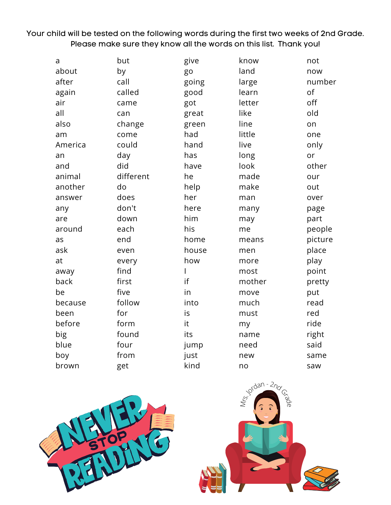Your child will be tested on the following words during the first two weeks of 2nd Grade. Please make sure they know all the words on this list. Thank you!

| a       | but       | give  | know   | not     |
|---------|-----------|-------|--------|---------|
| about   | by        | go    | land   | now     |
| after   | call      | going | large  | number  |
| again   | called    | good  | learn  | of      |
| air     | came      | got   | letter | off     |
| all     | can       | great | like   | old     |
| also    | change    | green | line   | on      |
| am      | come      | had   | little | one     |
| America | could     | hand  | live   | only    |
| an      | day       | has   | long   | or      |
| and     | did       | have  | look   | other   |
| animal  | different | he    | made   | our     |
| another | do        | help  | make   | out     |
| answer  | does      | her   | man    | over    |
| any     | don't     | here  | many   | page    |
| are     | down      | him   | may    | part    |
| around  | each      | his   | me     | people  |
| as      | end       | home  | means  | picture |
| ask     | even      | house | men    | place   |
| at      | every     | how   | more   | play    |
| away    | find      | I     | most   | point   |
| back    | first     | if    | mother | pretty  |
| be      | five      | in    | move   | put     |
| because | follow    | into  | much   | read    |
| been    | for       | is    | must   | red     |
| before  | form      | it    | my     | ride    |
| big     | found     | its   | name   | right   |
| blue    | four      | jump  | need   | said    |
| boy     | from      | just  | new    | same    |
| brown   | get       | kind  | no     | saw     |